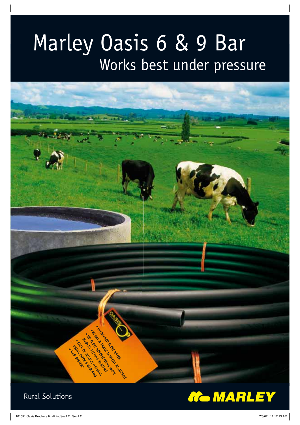## Marley Oasis 6 & 9 Bar Works best under pressure



## Rural Solutions

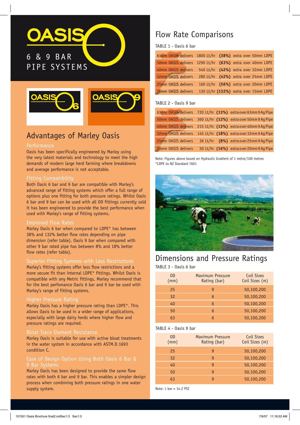# 6 & 9 BAR PIPE SYSTEMS





## Advantages of Marley Oasis

#### **Performance**

Oasis has been specifically engineered by Marley using the very latest materials and technology to meet the high demands of modern large herd farming where breakdowns and average performance is not acceptable.

#### Fitting Compatibility

Both Oasis 6 bar and 9 bar are compatible with Marley's advanced range of fitting systems which offer a full range of options plus one fitting for both pressure ratings. Whilst Oasis 6 bar and 9 bar can be used with all OD fittings currently sold it has been engineered to provide the best performance when used with Marley's range of fitting systems.

#### Improved Flow Rates

Marley Oasis 6 bar when compared to LDPE\* has between 38% and 132% better flow rates depending on pipe dimension (refer table). Oasis 9 bar when compared with other 9 bar rated pipe has between 8% and 18% better flow rates (refer table).

Marley's fitting systems offer less flow restrictions and a more secure fit than internal LDPE\* fittings. Whilst Oasis is compatible with any Metric fittings, Marley recommend that for the best perfomance Oasis 6 bar and 9 bar be used with Marley's range of fitting systems.

#### Higher Pressure Rating

Marley Oasis has a higher pressure rating than LDPE\*. This allows Oasis to be used in a wider range of applications, especially with large dairy herds where higher flow and pressure ratings are required.

#### Bloat Trace Element Resistance

Marley Oasis is suitable for use with active bloat treatments in the water system in accordance with ASTM.D.1693 condition C.

## 9 Bar Systems

Marley Oasis has been designed to provide the same flow rates with both 6 bar and 9 bar. This enables a simpler design process when combining both pressure ratings in one water supply system.

## Flow Rate Comparisons

#### TABLE 1 - Oasis 6 bar

|                     |  | 63mm OASIS delivers 1800 Lt/hr (38%) extra over 50mm LDPE |
|---------------------|--|-----------------------------------------------------------|
| 50mm OASIS delivers |  | 1290 Lt/hr (63%) extra over 40mm LDPE                     |
| 40mm OASIS delivers |  | 540 Lt/hr (42%) extra over 32mm LDPE                      |
| 32mm OASIS delivers |  | 280 Lt/hr (42%) extra over 25mm LDPE                      |
| 25mm OASIS delivers |  | 160 Lt/hr (56%) extra over 20mm LDPE                      |
| 20mm OASIS delivers |  | 130 Lt/hr (132%) extra over 15mm LDPE                     |

#### TABLE 2 - Oasis 9 bar

| 63mm OASIS delivers |  | 720 Lt/hr (13%) extra over 63mm 9 Ag Pipe |
|---------------------|--|-------------------------------------------|
| 50mm OASIS delivers |  | 360 Lt/hr (12%) extra over 50mm 9 Aq Pipe |
| 40mm OASIS delivers |  | 215 Lt/hr (13%) extra over 40mm 9 Ag Pipe |
| 32mm OASIS delivers |  | 145 Lt/hr (18%) extra over 32mm 9 Ag Pipe |
| 25mm OASIS delivers |  | 36 Lt/hr (8%) extra over 25mm 9 Aq Pipe   |
| 20mm OASIS delivers |  | 50 Lt/hr (16%) extra over 20mm 9 Ag Pipe  |

Note: Figures above based on Hydraulic Gradient of 1 metre/100 metres \*LDPE to NZ Standard 7601



### Dimensions and Pressure Ratings

TABLE 3 - Oasis 6 bar

| 0D<br>(mm) | <b>Maximum Pressure</b><br>Rating (bar) | Coil Sizes<br>Coil Sizes (m) |
|------------|-----------------------------------------|------------------------------|
| 25         | g                                       | 50,100,200                   |
| 32         | 6                                       | 50,100,200                   |
| 40         | 6                                       | 50,100,200                   |
| 50         | 6                                       | 50,100,200                   |
| 63         | 6                                       | 50,100,200                   |

#### TABLE 4 - Oasis 9 bar

| 0D<br>(mm) | <b>Maximum Pressure</b><br>Rating (bar) | Coil Sizes<br>Coil Sizes (m) |
|------------|-----------------------------------------|------------------------------|
| 25         | g                                       | 50,100,200                   |
| 32         | g                                       | 50,100,200                   |
| 40         | q                                       | 50,100,200                   |
| 50         | q                                       | 50,100,200                   |
| 63         | q                                       | 50,100,200                   |

Note: 1 har =  $14.2$  PST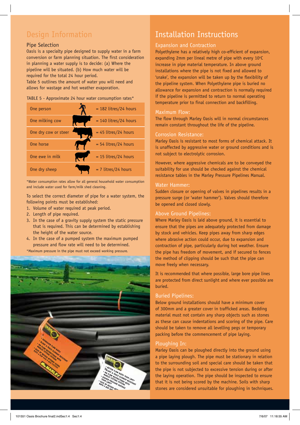## Design Information

#### Pipe Selection

Oasis is a specialty pipe designed to supply water in a farm conversion or farm planning situation. The first consideration in planning a water supply is to decide: (a) Where the pipeline will be situated. (b) How much water will be required for the total 24 hour period.

Table 5 outlines the amount of water you will need and allows for wastage and hot weather evaporation.

#### TABLE 5 - Approximate 24 hour water consumption rates\*

| One person           | $= 182$ litres/24 hours |
|----------------------|-------------------------|
| One milking cow      | $= 140$ litres/24 hours |
| One dry cow or steer | $= 45$ litres/24 hours  |
| One horse            | $= 54$ litres/24 hours  |
| One ewe in milk      | $= 15$ litres/24 hours  |
| One dry sheep        | $= 7$ litres/24 hours   |

\*Water consumption rates allow for all general household water consumption and include water used for farm/milk shed cleaning.

To select the correct diameter of pipe for a water system, the following points must be established:

- 1. Volume of water required at peak period.
- 2. Length of pipe required.
- 3. In the case of a gravity supply system the static pressure that is required. This can be determined by establishing the height of the water source.
- 4. In the case of a pumped system the maximum pumped pressure and flow rate will need to be determined.
- \*Maximum pressure in the pipe must not exceed working pressure.



## Installation Instructions

### Expansion and Contraction

Polyethylene has a relatively high co-efficient of expansion, expanding 2mm per lineal metre of pipe with every  $10^{\circ}$ C increase in pipe material temperature. In above ground installations where the pipe is not fixed and allowed to 'snake', the expansion will be taken up by the flexibility of the pipeline system. When Polyethylene pipe is buried no allowance for expansion and contraction is normally required if the pipeline is permitted to return to normal operating temperature prior to final connection and backfilling.

#### Maximum Flow:

The flow through Marley Oasis will in normal circumstances remain constant throughout the life of the pipeline.

#### Corrosion Resistance:

Marley Oasis is resistant to most forms of chemical attack. It is unaffected by aggressive water or ground conditions and is not subject to electrolytic corrosion.

However, where aggressive chemicals are to be conveyed the suitability for use should be checked against the chemical resistance tables in the Marley Pressure Pipelines Manual.

#### Water Hammer:

Sudden closure or opening of valves in pipelines results in a pressure surge (or 'water hammer'). Valves should therefore be opened and closed slowly.

#### Above Ground Pipelines:

Where Marley Oasis is laid above ground, it is essential to ensure that the pipes are adequately protected from damage by stock and vehicles. Keep pipes away from sharp edges where abrasive action could occur, due to expansion and contraction of pipe, particularly during hot weather. Ensure the pipe has freedom of movement, and if secured to fences the method of clipping should be such that the pipe can move freely when necessary.

It is recommended that where possible, large bore pipe lines are protected from direct sunlight and where ever possible are buried.

#### Buried Pipelines:

Below ground installations should have a minimum cover of 300mm and a greater cover in trafficked areas. Bedding material must not contain any sharp objects such as stones as these can cause indentations and scoring of the pipe. Care should be taken to remove all levelling pegs or temporary packing before the commencement of pipe laying.

#### Ploughing In:

Marley Oasis can be ploughed directly into the ground using a pipe laying plough. The pipe must be stationary in relation to the surrounding soil and special care should be taken that the pipe is not subjected to excessive tension during or after the laying operation. The pipe should be inspected to ensure that it is not being scored by the machine. Soils with sharp stones are considered unsuitable for ploughing in techniques.